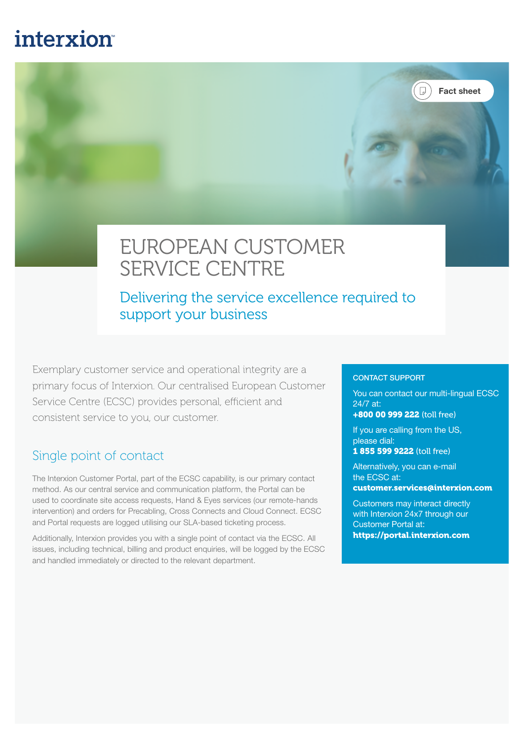# **interxion**

# EUROPEAN CUSTOMER SERVICE CENTRE

Delivering the service excellence required to support your business

Exemplary customer service and operational integrity are a primary focus of Interxion. Our centralised European Customer Service Centre (ECSC) provides personal, efficient and consistent service to you, our customer.

#### Single point of contact

The Interxion Customer Portal, part of the ECSC capability, is our primary contact method. As our central service and communication platform, the Portal can be used to coordinate site access requests, Hand & Eyes services (our remote-hands intervention) and orders for Precabling, Cross Connects and Cloud Connect. ECSC and Portal requests are logged utilising our SLA-based ticketing process.

Additionally, Interxion provides you with a single point of contact via the ECSC. All issues, including technical, billing and product enquiries, will be logged by the ECSC and handled immediately or directed to the relevant department.

#### CONTACT SUPPORT

You can contact our multi-lingual ECSC 24/7 at:

Fact sheet

 $(\Box)$ 

+800 00 999 222 (toll free)

If you are calling from the US, please dial: 1 855 599 9222 (toll free)

Alternatively, you can e-mail the ECSC at:

customer.services@interxion.com

Customers may interact directly with Interxion 24x7 through our Customer Portal at: https://portal.interxion.com